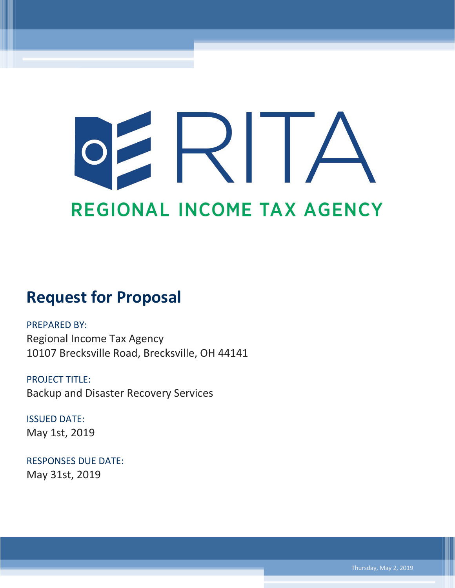# $\mathsf{R}$ REGIONAL INCOME TAX AGENCY

## **Request for Proposal**

PREPARED BY: Regional Income Tax Agency 10107 Brecksville Road, Brecksville, OH 44141

PROJECT TITLE: Backup and Disaster Recovery Services

ISSUED DATE: May 1st, 2019

RESPONSES DUE DATE: May 31st, 2019

Thursday, May 2, 2019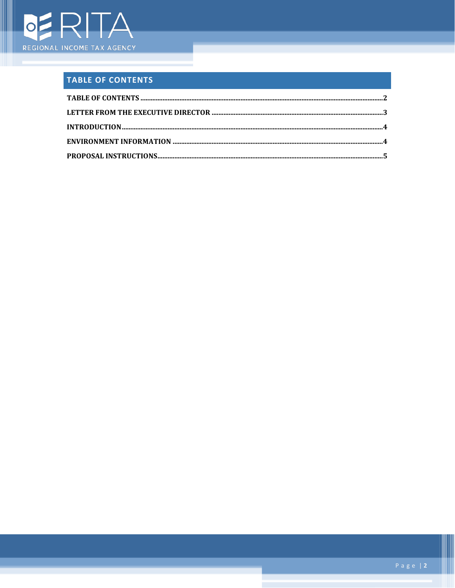

Ш

### <span id="page-1-0"></span>TABLE OF CONTENTS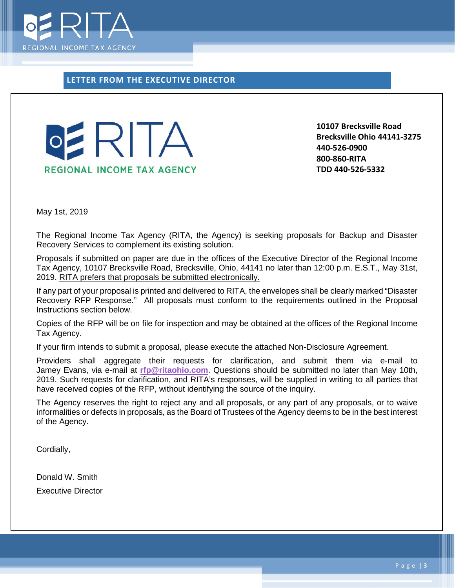

<span id="page-2-0"></span>**LETTER FROM THE EXECUTIVE DIRECTOR**



**10107 Brecksville Road Brecksville Ohio 44141-3275 440-526-0900 800-860-RITA TDD 440-526-5332**

May 1st, 2019

The Regional Income Tax Agency (RITA, the Agency) is seeking proposals for Backup and Disaster Recovery Services to complement its existing solution.

Proposals if submitted on paper are due in the offices of the Executive Director of the Regional Income Tax Agency, 10107 Brecksville Road, Brecksville, Ohio, 44141 no later than 12:00 p.m. E.S.T., May 31st, 2019. RITA prefers that proposals be submitted electronically.

If any part of your proposal is printed and delivered to RITA, the envelopes shall be clearly marked "Disaster Recovery RFP Response." All proposals must conform to the requirements outlined in the Proposal Instructions section below.

Copies of the RFP will be on file for inspection and may be obtained at the offices of the Regional Income Tax Agency.

If your firm intends to submit a proposal, please execute the attached Non-Disclosure Agreement.

Providers shall aggregate their requests for clarification, and submit them via e-mail to Jamey Evans, via e-mail at **[rfp@ritaohio.com](mailto:rfp@ritaohio.com)**. Questions should be submitted no later than May 10th, 2019. Such requests for clarification, and RITA's responses, will be supplied in writing to all parties that have received copies of the RFP, without identifying the source of the inquiry.

The Agency reserves the right to reject any and all proposals, or any part of any proposals, or to waive informalities or defects in proposals, as the Board of Trustees of the Agency deems to be in the best interest of the Agency.

Cordially,

Donald W. Smith Executive Director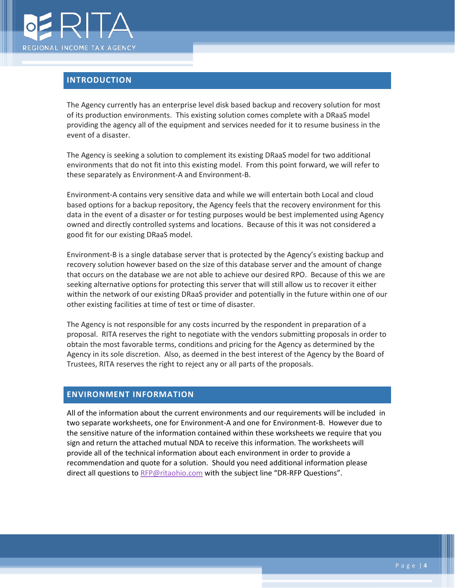

#### <span id="page-3-0"></span>**INTRODUCTION**

The Agency currently has an enterprise level disk based backup and recovery solution for most of its production environments. This existing solution comes complete with a DRaaS model providing the agency all of the equipment and services needed for it to resume business in the event of a disaster.

The Agency is seeking a solution to complement its existing DRaaS model for two additional environments that do not fit into this existing model. From this point forward, we will refer to these separately as Environment-A and Environment-B.

Environment-A contains very sensitive data and while we will entertain both Local and cloud based options for a backup repository, the Agency feels that the recovery environment for this data in the event of a disaster or for testing purposes would be best implemented using Agency owned and directly controlled systems and locations. Because of this it was not considered a good fit for our existing DRaaS model.

Environment-B is a single database server that is protected by the Agency's existing backup and recovery solution however based on the size of this database server and the amount of change that occurs on the database we are not able to achieve our desired RPO. Because of this we are seeking alternative options for protecting this server that will still allow us to recover it either within the network of our existing DRaaS provider and potentially in the future within one of our other existing facilities at time of test or time of disaster.

The Agency is not responsible for any costs incurred by the respondent in preparation of a proposal. RITA reserves the right to negotiate with the vendors submitting proposals in order to obtain the most favorable terms, conditions and pricing for the Agency as determined by the Agency in its sole discretion. Also, as deemed in the best interest of the Agency by the Board of Trustees, RITA reserves the right to reject any or all parts of the proposals.

#### <span id="page-3-1"></span>**ENVIRONMENT INFORMATION**

All of the information about the current environments and our requirements will be included in two separate worksheets, one for Environment-A and one for Environment-B. However due to the sensitive nature of the information contained within these worksheets we require that you sign and return the attached mutual NDA to receive this information. The worksheets will provide all of the technical information about each environment in order to provide a recommendation and quote for a solution. Should you need additional information please direct all questions to [RFP@ritaohio.com](mailto:RFP@ritaohio.com) with the subject line "DR-RFP Questions".